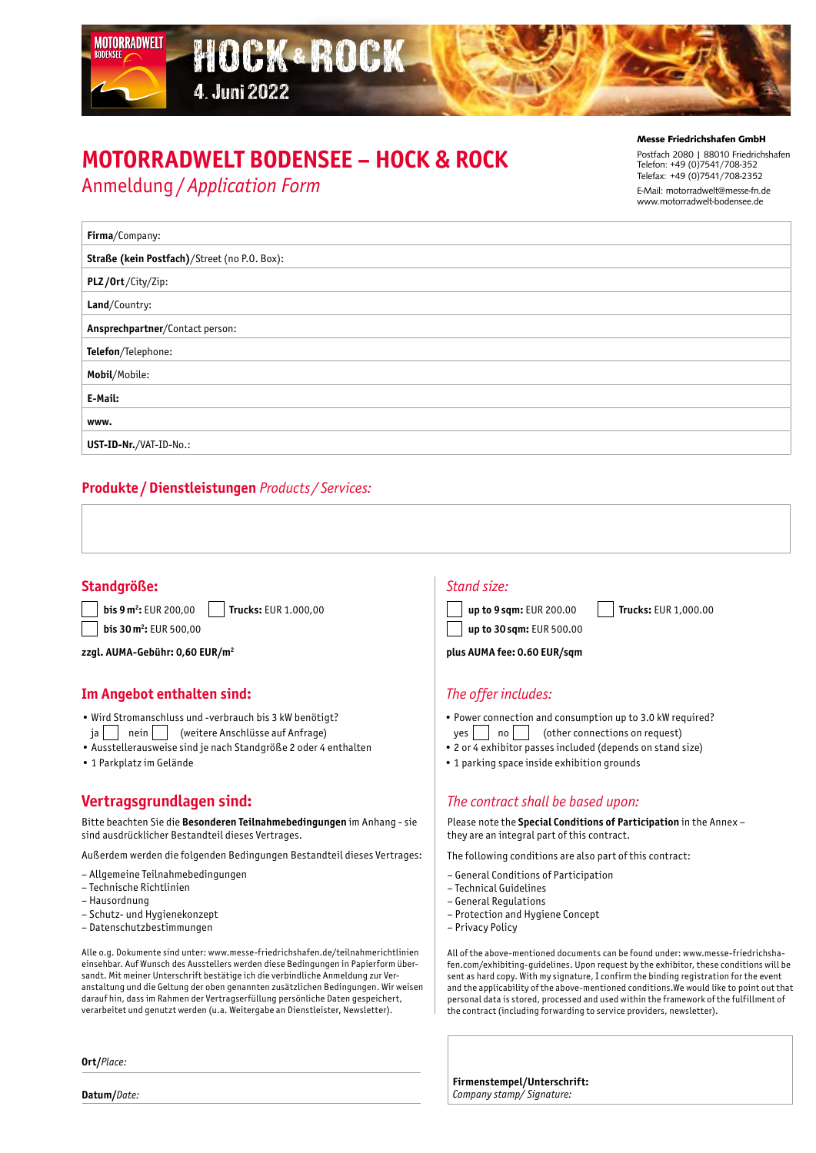# **MOTORRADWELT BODENSEE – HOCK & ROCK**

HOCK & ROCK

Anmeldung/*Application Form*

MOTORRADWELT

4. Juni 2022

#### Messe Friedrichshafen GmbH

Postfach 2080 | 88010 Friedrichshafen Telefon: +49 (0)7541/708-352 Telefax: +49 (0)7541/708-2352 E-Mail: motorradwelt@messe-fn.de www.motorradwelt-bodensee.de

| Firma/Company:                               |  |
|----------------------------------------------|--|
| Straße (kein Postfach)/Street (no P.O. Box): |  |
| PLZ/Ort/City/Zip:                            |  |
| Land/Country:                                |  |
| Ansprechpartner/Contact person:              |  |
| Telefon/Telephone:                           |  |
| Mobil/Mobile:                                |  |
| E-Mail:                                      |  |
| www.                                         |  |
| UST-ID-Nr./VAT-ID-No.:                       |  |

### **Produkte /Dienstleistungen** *Products / Services:*

#### **Standgröße:** *Stand size:*

**bis 9 m<sup>2</sup>: EUR 200,00 :** EUR 200,00 **Trucks:** EUR 1.000,00 **bis 30 m<sup>2</sup>:** EUR 500,00

**zzgl. AUMA-Gebühr: 0,60 EUR/m2**

### **Im Angebot enthalten sind:** *The offer includes:*

- Wird Stromanschluss und -verbrauch bis 3 kW benötigt?
- ja | | nein | | (weitere Anschlüsse auf Anfrage)
- Ausstellerausweise sind je nach Standgröße 2 oder 4 enthalten
- 1 Parkplatz im Gelände

## **Vertragsgrundlagen sind:**

Bitte beachten Sie die **Besonderen Teilnahmebedingungen** im Anhang - sie sind ausdrücklicher Bestandteil dieses Vertrages.

Außerdem werden die folgenden Bedingungen Bestandteil dieses Vertrages:

- Allgemeine Teilnahmebedingungen
- Technische Richtlinien
- Hausordnung
- Schutz- und Hygienekonzept
- Datenschutzbestimmungen

Alle o.g. Dokumente sind unter: www.messe-friedrichshafen.de/teilnahmerichtlinien einsehbar. Auf Wunsch des Ausstellers werden diese Bedingungen in Papierform übersandt. Mit meiner Unterschrift bestätige ich die verbindliche Anmeldung zur Veranstaltung und die Geltung der oben genannten zusätzlichen Bedingungen. Wir weisen darauf hin, dass im Rahmen der Vertragserfüllung persönliche Daten gespeichert, verarbeitet und genutzt werden (u.a. Weitergabe an Dienstleister, Newsletter).

**Ort/***Place:*

**Datum/***Date:*



**up to 30sqm:** EUR 500.00

**plus AUMA fee: 0.60 EUR/sqm**

- Power connection and consumption up to 3.0 kW required?
- $yes \mid \quad | \quad no \mid \quad |$  (other connections on request)
- 2 or 4 exhibitor passes included (depends on stand size)
- 1 parking space inside exhibition grounds

#### *The contract shall be based upon:*

Please note the **Special Conditions of Participation** in the Annex – they are an integral part of this contract.

The following conditions are also part of this contract:

- General Conditions of Participation
- Technical Guidelines
- General Regulations
- Protection and Hygiene Concept
- Privacy Policy

All of the above-mentioned documents can be found under: www.messe-friedrichshafen.com/exhibiting-guidelines. Upon request by the exhibitor, these conditions will be sent as hard copy. With my signature, I confirm the binding registration for the event and the applicability of the above-mentioned conditions.We would like to point out that personal data is stored, processed and used within the framework of the fulfillment of the contract (including forwarding to service providers, newsletter).

**Firmenstempel/Unterschrift:** *Company stamp/ Signature:*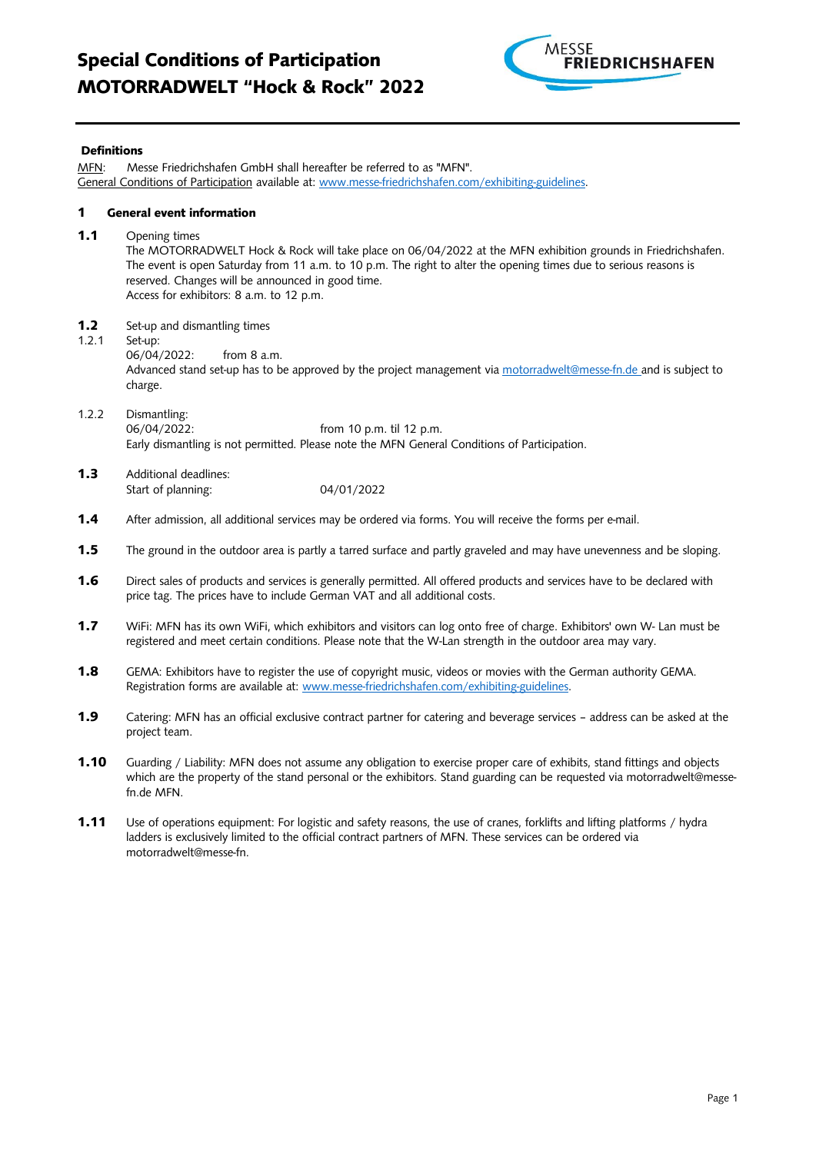

#### Definitions

| MFN:                                  | Messe Friedrichshafen GmbH shall hereafter be referred to as "MFN".<br>General Conditions of Participation available at: www.messe-friedrichshafen.com/exhibiting-guidelines.                                                                                                                                                                       |
|---------------------------------------|-----------------------------------------------------------------------------------------------------------------------------------------------------------------------------------------------------------------------------------------------------------------------------------------------------------------------------------------------------|
| <b>General event information</b><br>1 |                                                                                                                                                                                                                                                                                                                                                     |
| 1.1                                   | Opening times<br>The MOTORRADWELT Hock & Rock will take place on 06/04/2022 at the MFN exhibition grounds in Friedrichshafen.<br>The event is open Saturday from 11 a.m. to 10 p.m. The right to alter the opening times due to serious reasons is<br>reserved. Changes will be announced in good time.<br>Access for exhibitors: 8 a.m. to 12 p.m. |
| 1.2<br>1.2.1                          | Set-up and dismantling times<br>Set-up:<br>06/04/2022:<br>from 8 a.m.<br>Advanced stand set-up has to be approved by the project management via motorradwelt@messe-fn.de and is subject to<br>charge.                                                                                                                                               |
| 1.2.2                                 | Dismantling:<br>06/04/2022:<br>from 10 p.m. til 12 p.m.<br>Early dismantling is not permitted. Please note the MFN General Conditions of Participation.                                                                                                                                                                                             |
| 1.3                                   | Additional deadlines:<br>04/01/2022<br>Start of planning:                                                                                                                                                                                                                                                                                           |
| 1.4                                   | After admission, all additional services may be ordered via forms. You will receive the forms per e-mail.                                                                                                                                                                                                                                           |
| 1.5                                   | The ground in the outdoor area is partly a tarred surface and partly graveled and may have unevenness and be sloping.                                                                                                                                                                                                                               |
| 1.6                                   | Direct sales of products and services is generally permitted. All offered products and services have to be declared with<br>price tag. The prices have to include German VAT and all additional costs.                                                                                                                                              |
| 1.7                                   | WiFi: MFN has its own WiFi, which exhibitors and visitors can log onto free of charge. Exhibitors' own W- Lan must be<br>registered and meet certain conditions. Please note that the W-Lan strength in the outdoor area may vary.                                                                                                                  |
| 1.8                                   | GEMA: Exhibitors have to register the use of copyright music, videos or movies with the German authority GEMA.<br>Registration forms are available at: www.messe-friedrichshafen.com/exhibiting-guidelines.                                                                                                                                         |

- 1.9 Catering: MFN has an official exclusive contract partner for catering and beverage services address can be asked at the project team.
- 1.10 Guarding / Liability: MFN does not assume any obligation to exercise proper care of exhibits, stand fittings and objects which are the property of the stand personal or the exhibitors. Stand guarding can be requested via [motorradwelt@messe](mailto:motorradwelt@messe-fn.de)[fn.de](mailto:motorradwelt@messe-fn.de) MFN.
- 1.11 Use of operations equipment: For logistic and safety reasons, the use of cranes, forklifts and lifting platforms / hydra ladders is exclusively limited to the official contract partners of MFN. These services can be ordered via motorradwelt@messe-fn.